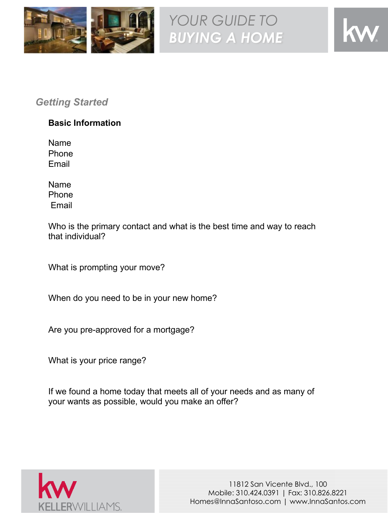

# *Getting Started*

## **Basic Information**

Name Phone Email

Name Phone Email

Who is the primary contact and what is the best time and way to reach that individual?

What is prompting your move?

When do you need to be in your new home?

Are you pre-approved for a mortgage?

What is your price range?

If we found a home today that meets all of your needs and as many of your wants as possible, would you make an offer?

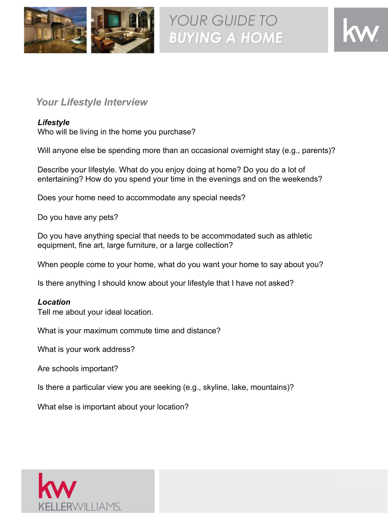

## *Your Lifestyle Interview*

#### *Lifestyle*

Who will be living in the home you purchase?

Will anyone else be spending more than an occasional overnight stay (e.g., parents)?

Describe your lifestyle. What do you enjoy doing at home? Do you do a lot of entertaining? How do you spend your time in the evenings and on the weekends?

Does your home need to accommodate any special needs?

Do you have any pets?

Do you have anything special that needs to be accommodated such as athletic equipment, fine art, large furniture, or a large collection?

When people come to your home, what do you want your home to say about you?

Is there anything I should know about your lifestyle that I have not asked?

#### *Location*

Tell me about your ideal location.

What is your maximum commute time and distance?

What is your work address?

Are schools important?

Is there a particular view you are seeking (e.g., skyline, lake, mountains)?

What else is important about your location?

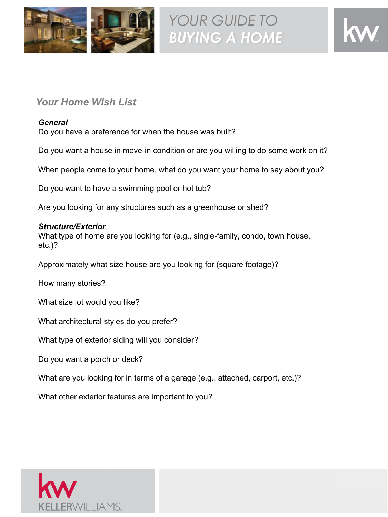



## *Your Home Wish List*

#### *General*

Do you have a preference for when the house was built?

Do you want a house in move-in condition or are you willing to do some work on it?

When people come to your home, what do you want your home to say about you?

Do you want to have a swimming pool or hot tub?

Are you looking for any structures such as a greenhouse or shed?

#### *Structure/Exterior*

What type of home are you looking for (e.g., single-family, condo, town house, etc.)?

Approximately what size house are you looking for (square footage)?

How many stories?

What size lot would you like?

What architectural styles do you prefer?

What type of exterior siding will you consider?

Do you want a porch or deck?

What are you looking for in terms of a garage (e.g., attached, carport, etc.)?

What other exterior features are important to you?

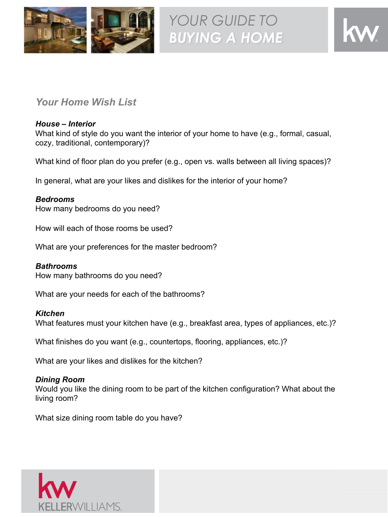



## *Your Home Wish List*

#### *House – Interior*

What kind of style do you want the interior of your home to have (e.g., formal, casual, cozy, traditional, contemporary)?

What kind of floor plan do you prefer (e.g., open vs. walls between all living spaces)?

In general, what are your likes and dislikes for the interior of your home?

#### *Bedrooms*

How many bedrooms do you need?

How will each of those rooms be used?

What are your preferences for the master bedroom?

#### *Bathrooms*

How many bathrooms do you need?

What are your needs for each of the bathrooms?

#### *Kitchen*

What features must your kitchen have (e.g., breakfast area, types of appliances, etc.)?

What finishes do you want (e.g., countertops, flooring, appliances, etc.)?

What are your likes and dislikes for the kitchen?

#### *Dining Room*

Would you like the dining room to be part of the kitchen configuration? What about the living room?

What size dining room table do you have?

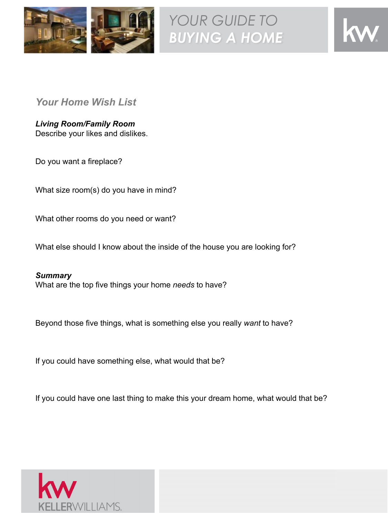



*Your Home Wish List*

*Living Room/Family Room* Describe your likes and dislikes.

Do you want a fireplace?

What size room(s) do you have in mind?

What other rooms do you need or want?

What else should I know about the inside of the house you are looking for?

*Summary* What are the top five things your home *needs* to have?

Beyond those five things, what is something else you really *want* to have?

If you could have something else, what would that be?

If you could have one last thing to make this your dream home, what would that be?

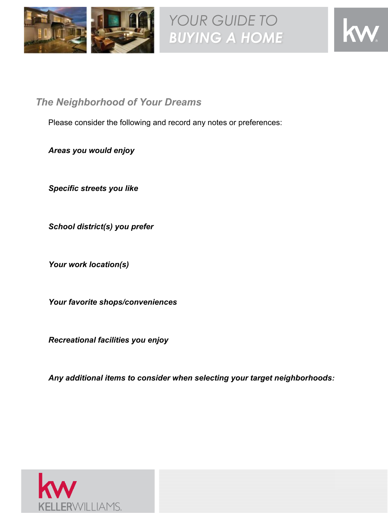



*The Neighborhood of Your Dreams*

Please consider the following and record any notes or preferences:

*Areas you would enjoy*

*Specific streets you like*

*School district(s) you prefer*

*Your work location(s)*

*Your favorite shops/conveniences*

*Recreational facilities you enjoy*

*Any additional items to consider when selecting your target neighborhoods:*